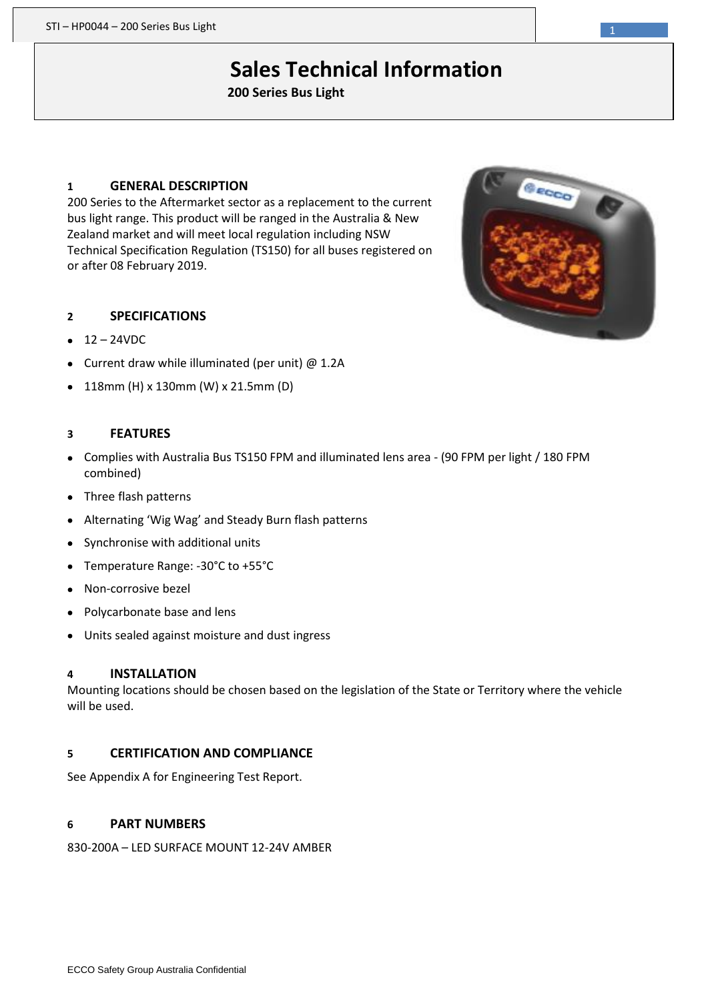# **Sales Technical Information**

**200 Series Bus Light**

#### **1 GENERAL DESCRIPTION**

200 Series to the Aftermarket sector as a replacement to the current bus light range. This product will be ranged in the Australia & New Zealand market and will meet local regulation including NSW Technical Specification Regulation (TS150) for all buses registered on or after 08 February 2019.

#### **2 SPECIFICATIONS**

- $12 24VDC$
- Current draw while illuminated (per unit) @ 1.2A
- 118mm (H) x 130mm (W) x 21.5mm (D)

#### **3 FEATURES**

- Complies with Australia Bus TS150 FPM and illuminated lens area (90 FPM per light / 180 FPM combined)
- Three flash patterns
- Alternating 'Wig Wag' and Steady Burn flash patterns
- Synchronise with additional units
- Temperature Range: -30°C to +55°C
- Non-corrosive bezel
- Polycarbonate base and lens
- Units sealed against moisture and dust ingress

#### **4 INSTALLATION**

Mounting locations should be chosen based on the legislation of the State or Territory where the vehicle will be used.

#### **5 CERTIFICATION AND COMPLIANCE**

See Appendix A for Engineering Test Report.

#### **6 PART NUMBERS**

830-200A – LED SURFACE MOUNT 12-24V AMBER

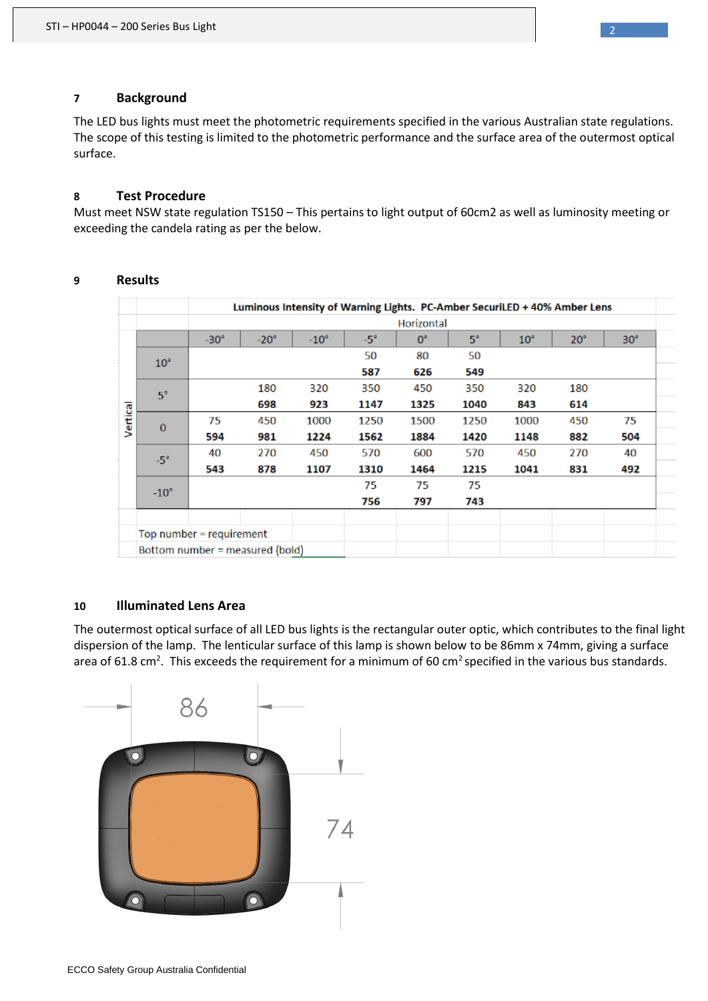## **7 Background**

The LED bus lights must meet the photometric requirements specified in the various Australian state regulations. The scope of this testing is limited to the photometric performance and the surface area of the outermost optical surface.

## **8 Test Procedure**

Must meet NSW state regulation TS150 – This pertains to light output of 60cm2 as well as luminosity meeting or exceeding the candela rating as per the below.

|          |                                 |             |             |             |            |             |           | Luminous Intensity of Warning Lights. PC-Amber SecuriLED + 40% Amber Lens |              |            |  |  |
|----------|---------------------------------|-------------|-------------|-------------|------------|-------------|-----------|---------------------------------------------------------------------------|--------------|------------|--|--|
|          |                                 | Horizontal  |             |             |            |             |           |                                                                           |              |            |  |  |
| Vertical |                                 | $-30^\circ$ | $-20^\circ$ | $-10^\circ$ | $-5^\circ$ | $0^{\circ}$ | $5^\circ$ | $10^{\circ}$                                                              | $20^{\circ}$ | $30^\circ$ |  |  |
|          | $10^{\circ}$                    |             |             |             | 50         | 80          | 50        |                                                                           |              |            |  |  |
|          |                                 |             |             |             | 587        | 626         | 549       |                                                                           |              |            |  |  |
|          | $5^\circ$                       |             | 180         | 320         | 350        | 450         | 350       | 320                                                                       | 180          |            |  |  |
|          |                                 |             | 698         | 923         | 1147       | 1325        | 1040      | 843                                                                       | 614          |            |  |  |
|          | $\bf{0}$                        | 75          | 450         | 1000        | 1250       | 1500        | 1250      | 1000                                                                      | 450          | 75         |  |  |
|          |                                 | 594         | 981         | 1224        | 1562       | 1884        | 1420      | 1148                                                                      | 882          | 504        |  |  |
|          | $-5^\circ$                      | 40          | 270         | 450         | 570        | 600         | 570       | 450                                                                       | 270          | 40         |  |  |
|          |                                 | 543         | 878         | 1107        | 1310       | 1464        | 1215      | 1041                                                                      | 831          | 492        |  |  |
|          | $-10^\circ$                     |             |             |             | 75         | 75          | 75        |                                                                           |              |            |  |  |
|          |                                 |             |             |             | 756        | 797         | 743       |                                                                           |              |            |  |  |
|          |                                 |             |             |             |            |             |           |                                                                           |              |            |  |  |
|          | Top number = requirement        |             |             |             |            |             |           |                                                                           |              |            |  |  |
|          | Bottom number = measured (bold) |             |             |             |            |             |           |                                                                           |              |            |  |  |

# **9 Results**

## **10 Illuminated Lens Area**

The outermost optical surface of all LED bus lights is the rectangular outer optic, which contributes to the final light dispersion of the lamp. The lenticular surface of this lamp is shown below to be 86mm x 74mm, giving a surface area of 61.8 cm<sup>2</sup>. This exceeds the requirement for a minimum of 60 cm<sup>2</sup> specified in the various bus standards.